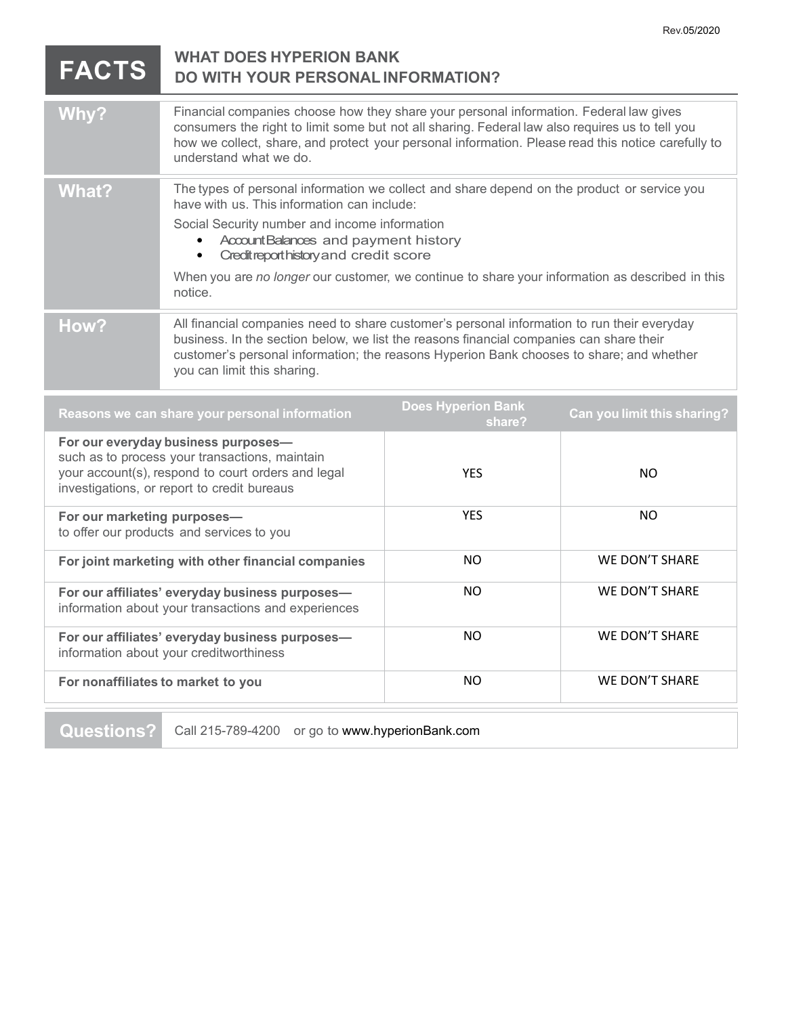| <b>FACTS</b>                                                                                                                                                                               | <b>WHAT DOES HYPERION BANK</b><br><b>DO WITH YOUR PERSONAL INFORMATION?</b>                                                                                                                                                                                                                                                                                                               |                                     |                             |
|--------------------------------------------------------------------------------------------------------------------------------------------------------------------------------------------|-------------------------------------------------------------------------------------------------------------------------------------------------------------------------------------------------------------------------------------------------------------------------------------------------------------------------------------------------------------------------------------------|-------------------------------------|-----------------------------|
| Why?                                                                                                                                                                                       | Financial companies choose how they share your personal information. Federal law gives<br>consumers the right to limit some but not all sharing. Federal law also requires us to tell you<br>how we collect, share, and protect your personal information. Please read this notice carefully to<br>understand what we do.                                                                 |                                     |                             |
| <b>What?</b>                                                                                                                                                                               | The types of personal information we collect and share depend on the product or service you<br>have with us. This information can include:<br>Social Security number and income information<br>Account Balances and payment history<br>Creditreporthistory and credit score<br>When you are no longer our customer, we continue to share your information as described in this<br>notice. |                                     |                             |
| How?                                                                                                                                                                                       | All financial companies need to share customer's personal information to run their everyday<br>business. In the section below, we list the reasons financial companies can share their<br>customer's personal information; the reasons Hyperion Bank chooses to share; and whether<br>you can limit this sharing.                                                                         |                                     |                             |
| Reasons we can share your personal information                                                                                                                                             |                                                                                                                                                                                                                                                                                                                                                                                           | <b>Does Hyperion Bank</b><br>share? | Can you limit this sharing? |
| For our everyday business purposes-<br>such as to process your transactions, maintain<br>your account(s), respond to court orders and legal<br>investigations, or report to credit bureaus |                                                                                                                                                                                                                                                                                                                                                                                           | <b>YES</b>                          | <b>NO</b>                   |
| For our marketing purposes-<br>to offer our products and services to you                                                                                                                   |                                                                                                                                                                                                                                                                                                                                                                                           | <b>YES</b>                          | <b>NO</b>                   |
| For joint marketing with other financial companies                                                                                                                                         |                                                                                                                                                                                                                                                                                                                                                                                           | <b>NO</b>                           | <b>WE DON'T SHARE</b>       |
| For our affiliates' everyday business purposes-                                                                                                                                            |                                                                                                                                                                                                                                                                                                                                                                                           | <b>NO</b>                           | WE DON'T SHARE              |

| <u>I VI VUI alliilates Everyuay busiliess purposes—</u><br>information about your transactions and experiences |     |                |
|----------------------------------------------------------------------------------------------------------------|-----|----------------|
| For our affiliates' everyday business purposes-<br>information about your creditworthiness                     | NO. | WE DON'T SHARE |
| For nonaffiliates to market to you                                                                             | NO. | WE DON'T SHARE |
|                                                                                                                |     |                |
|                                                                                                                |     |                |

**Questions?** Call 215-789-4200 or go to www.hyperionBank.com